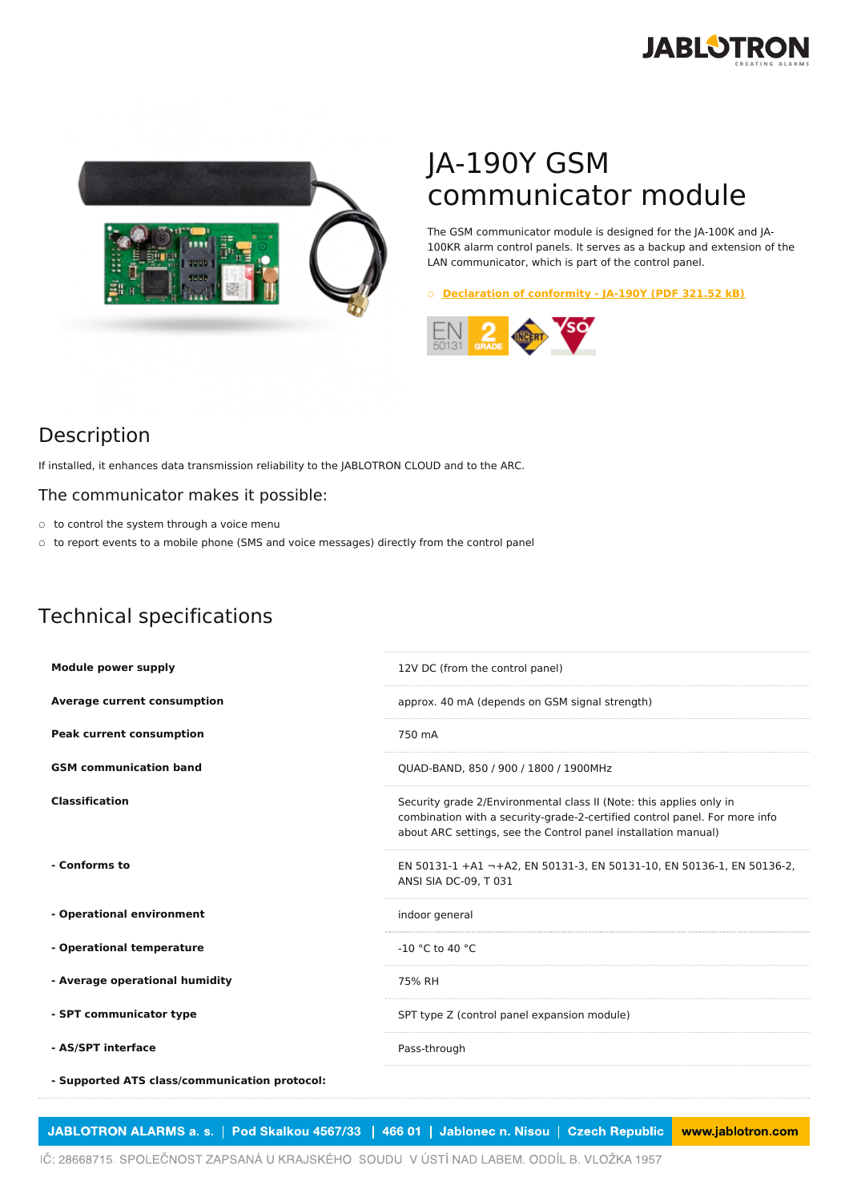



## JA-190Y GSM communicator module

The GSM communicator module is designed for the JA-100K and JA-100KR alarm control panels. It serves as a backup and extension of the LAN communicator, which is part of the control panel.

○ **[Declaration](https://www.jablotron.com/en/template/product/749/?file=0&jt_id=21887&hash=e5KerE&do=downloadCertificate) of conformity - JA-190Y (PDF 321.52 kB)**



## Description

If installed, it enhances data transmission reliability to the JABLOTRON CLOUD and to the ARC.

## The communicator makes it possible:

- to control the system through a voice menu
- to report events to a mobile phone (SMS and voice messages) directly from the control panel

## Technical specifications

| <b>Module power supply</b>                    | 12V DC (from the control panel)                                                                                                                                                                                     |
|-----------------------------------------------|---------------------------------------------------------------------------------------------------------------------------------------------------------------------------------------------------------------------|
| <b>Average current consumption</b>            | approx. 40 mA (depends on GSM signal strength)                                                                                                                                                                      |
| <b>Peak current consumption</b>               | 750 mA                                                                                                                                                                                                              |
| <b>GSM</b> communication band                 | QUAD-BAND, 850 / 900 / 1800 / 1900MHz                                                                                                                                                                               |
| <b>Classification</b>                         | Security grade 2/Environmental class II (Note: this applies only in<br>combination with a security-grade-2-certified control panel. For more info<br>about ARC settings, see the Control panel installation manual) |
| - Conforms to                                 | EN 50131-1 +A1 -+A2, EN 50131-3, EN 50131-10, EN 50136-1, EN 50136-2,<br>ANSI SIA DC-09, T 031                                                                                                                      |
| - Operational environment                     | indoor general                                                                                                                                                                                                      |
| - Operational temperature                     | $-10$ °C to 40 °C                                                                                                                                                                                                   |
| - Average operational humidity                | 75% RH                                                                                                                                                                                                              |
| - SPT communicator type                       | SPT type Z (control panel expansion module)                                                                                                                                                                         |
| - AS/SPT interface                            | Pass-through                                                                                                                                                                                                        |
| - Supported ATS class/communication protocol: |                                                                                                                                                                                                                     |

JABLOTRON ALARMS a. s. | Pod Skalkou 4567/33 | 466 01 | Jablonec n. Nisou | Czech Republic www.jablotron.com

IČ: 28668715. SPOLEČNOST ZAPSANÁ U KRAJSKÉHO SOUDU V ÚSTÍ NAD LABEM. ODDÍL B. VLOŽKA 1957